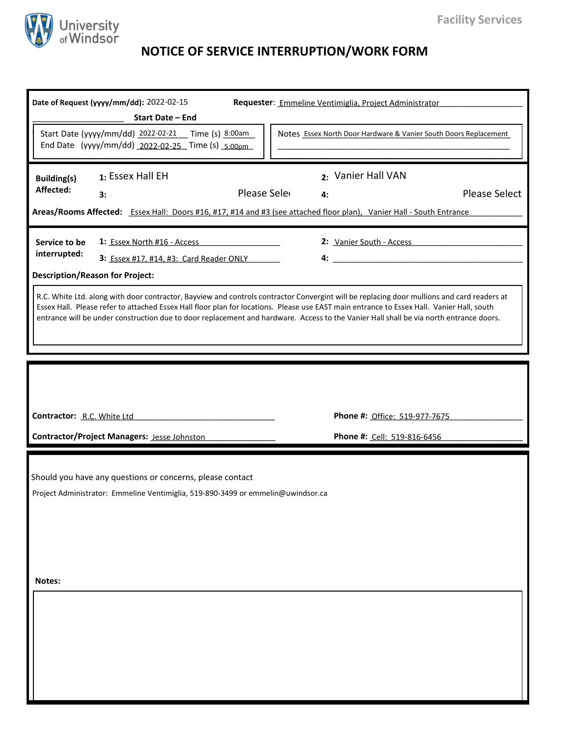

## **NOTICE OF SERVICE INTERRUPTION/WORK FORM**

|                                                                                                                                                                                                                                                                                                                                                                                                                                   | Date of Request (yyyy/mm/dd): 2022-02-15<br><b>Start Date - End</b><br>Start Date (yyyy/mm/dd) 2022-02-21  Time (s) 8:00am                     |                                                              |  | Requester: Emmeline Ventimiglia, Project Administrator | Notes Essex North Door Hardware & Vanier South Doors Replacement |  |  |  |
|-----------------------------------------------------------------------------------------------------------------------------------------------------------------------------------------------------------------------------------------------------------------------------------------------------------------------------------------------------------------------------------------------------------------------------------|------------------------------------------------------------------------------------------------------------------------------------------------|--------------------------------------------------------------|--|--------------------------------------------------------|------------------------------------------------------------------|--|--|--|
|                                                                                                                                                                                                                                                                                                                                                                                                                                   | End Date (yyyy/mm/dd) 2022-02-25 Time (s) 5:00pm                                                                                               |                                                              |  |                                                        |                                                                  |  |  |  |
| <b>Building(s)</b><br>Affected:                                                                                                                                                                                                                                                                                                                                                                                                   | 1: Essex Hall EH<br>3:<br>Areas/Rooms Affected: Essex Hall: Doors #16, #17, #14 and #3 (see attached floor plan), Vanier Hall - South Entrance | Please Sele                                                  |  | 2: Vanier Hall VAN<br>4:                               | <b>Please Select</b>                                             |  |  |  |
| Service to be<br>interrupted:                                                                                                                                                                                                                                                                                                                                                                                                     | 1: Essex North #16 - Access<br>3: Essex #17, #14, #3: Card Reader ONLY ______<br><b>Description/Reason for Project:</b>                        |                                                              |  | 2: Vanier South - Access                               |                                                                  |  |  |  |
| R.C. White Ltd. along with door contractor, Bayview and controls contractor Convergint will be replacing door mullions and card readers at<br>Essex Hall. Please refer to attached Essex Hall floor plan for locations. Please use EAST main entrance to Essex Hall. Vanier Hall, south<br>entrance will be under construction due to door replacement and hardware. Access to the Vanier Hall shall be via north entrance doors. |                                                                                                                                                |                                                              |  |                                                        |                                                                  |  |  |  |
| Contractor: R.C. White Ltd<br><b>Contractor/Project Managers: Jesse Johnston</b>                                                                                                                                                                                                                                                                                                                                                  |                                                                                                                                                | Phone #: Office: 519-977-7675<br>Phone #: Cell: 519-816-6456 |  |                                                        |                                                                  |  |  |  |
| Should you have any questions or concerns, please contact<br>Project Administrator: Emmeline Ventimiglia, 519-890-3499 or emmelin@uwindsor.ca                                                                                                                                                                                                                                                                                     |                                                                                                                                                |                                                              |  |                                                        |                                                                  |  |  |  |
| Notes:                                                                                                                                                                                                                                                                                                                                                                                                                            |                                                                                                                                                |                                                              |  |                                                        |                                                                  |  |  |  |
|                                                                                                                                                                                                                                                                                                                                                                                                                                   |                                                                                                                                                |                                                              |  |                                                        |                                                                  |  |  |  |